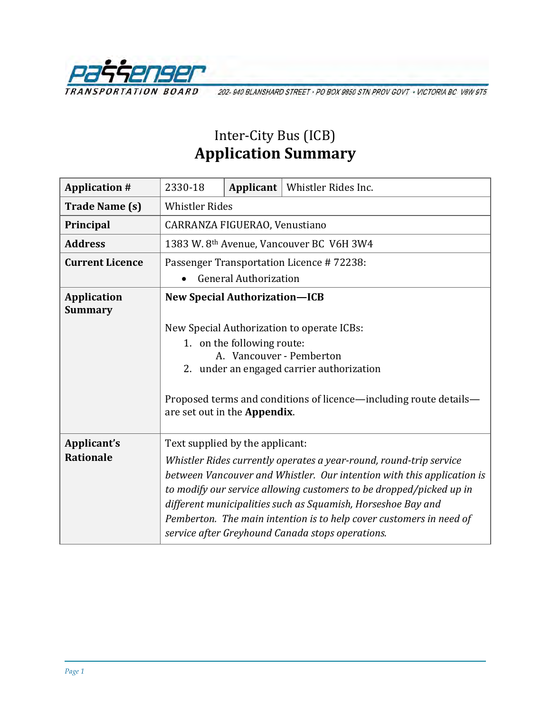

202-940 BLANSHARD STREET - PO BOX 9850 STN PROV GOVT - VICTORIA BC V8W 9T5

## Inter-City Bus (ICB) **Application Summary**

| <b>Application #</b>                 | 2330-18                                              | Applicant                  | Whistler Rides Inc.                                                                                                                                                                                                                                                                                                                                                                                            |  |
|--------------------------------------|------------------------------------------------------|----------------------------|----------------------------------------------------------------------------------------------------------------------------------------------------------------------------------------------------------------------------------------------------------------------------------------------------------------------------------------------------------------------------------------------------------------|--|
| <b>Trade Name (s)</b>                | <b>Whistler Rides</b>                                |                            |                                                                                                                                                                                                                                                                                                                                                                                                                |  |
| Principal                            | CARRANZA FIGUERAO, Venustiano                        |                            |                                                                                                                                                                                                                                                                                                                                                                                                                |  |
| <b>Address</b>                       | 1383 W. 8 <sup>th</sup> Avenue, Vancouver BC V6H 3W4 |                            |                                                                                                                                                                                                                                                                                                                                                                                                                |  |
| <b>Current Licence</b>               | Passenger Transportation Licence #72238:             |                            |                                                                                                                                                                                                                                                                                                                                                                                                                |  |
|                                      | <b>General Authorization</b>                         |                            |                                                                                                                                                                                                                                                                                                                                                                                                                |  |
| <b>Application</b><br><b>Summary</b> | <b>New Special Authorization-ICB</b>                 |                            |                                                                                                                                                                                                                                                                                                                                                                                                                |  |
|                                      | are set out in the Appendix.                         | 1. on the following route: | New Special Authorization to operate ICBs:<br>A. Vancouver - Pemberton<br>2. under an engaged carrier authorization<br>Proposed terms and conditions of licence—including route details—                                                                                                                                                                                                                       |  |
| Applicant's<br><b>Rationale</b>      | Text supplied by the applicant:                      |                            | Whistler Rides currently operates a year-round, round-trip service<br>between Vancouver and Whistler. Our intention with this application is<br>to modify our service allowing customers to be dropped/picked up in<br>different municipalities such as Squamish, Horseshoe Bay and<br>Pemberton. The main intention is to help cover customers in need of<br>service after Greyhound Canada stops operations. |  |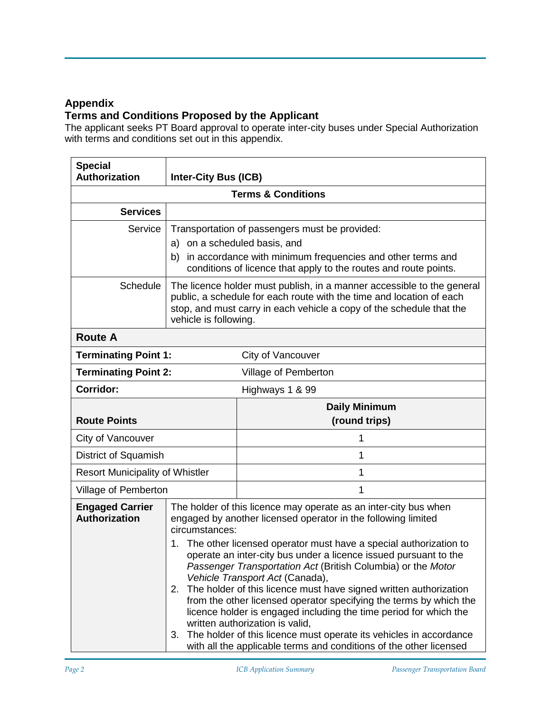## **Appendix**

## **Terms and Conditions Proposed by the Applicant**

The applicant seeks PT Board approval to operate inter-city buses under Special Authorization with terms and conditions set out in this appendix.

| <b>Special</b><br>Authorization                     | <b>Inter-City Bus (ICB)</b>                                                                                                                                                                                                                                                                                                                                                                                                                                                                                                                                                                                                                                                                                                                                                                                     |                      |  |  |
|-----------------------------------------------------|-----------------------------------------------------------------------------------------------------------------------------------------------------------------------------------------------------------------------------------------------------------------------------------------------------------------------------------------------------------------------------------------------------------------------------------------------------------------------------------------------------------------------------------------------------------------------------------------------------------------------------------------------------------------------------------------------------------------------------------------------------------------------------------------------------------------|----------------------|--|--|
| <b>Terms &amp; Conditions</b>                       |                                                                                                                                                                                                                                                                                                                                                                                                                                                                                                                                                                                                                                                                                                                                                                                                                 |                      |  |  |
| <b>Services</b>                                     |                                                                                                                                                                                                                                                                                                                                                                                                                                                                                                                                                                                                                                                                                                                                                                                                                 |                      |  |  |
| Service                                             | Transportation of passengers must be provided:<br>a) on a scheduled basis, and<br>in accordance with minimum frequencies and other terms and<br>b)<br>conditions of licence that apply to the routes and route points.                                                                                                                                                                                                                                                                                                                                                                                                                                                                                                                                                                                          |                      |  |  |
| Schedule                                            | The licence holder must publish, in a manner accessible to the general<br>public, a schedule for each route with the time and location of each<br>stop, and must carry in each vehicle a copy of the schedule that the<br>vehicle is following.                                                                                                                                                                                                                                                                                                                                                                                                                                                                                                                                                                 |                      |  |  |
| <b>Route A</b>                                      |                                                                                                                                                                                                                                                                                                                                                                                                                                                                                                                                                                                                                                                                                                                                                                                                                 |                      |  |  |
| <b>Terminating Point 1:</b>                         |                                                                                                                                                                                                                                                                                                                                                                                                                                                                                                                                                                                                                                                                                                                                                                                                                 | City of Vancouver    |  |  |
| <b>Terminating Point 2:</b><br>Village of Pemberton |                                                                                                                                                                                                                                                                                                                                                                                                                                                                                                                                                                                                                                                                                                                                                                                                                 |                      |  |  |
| Corridor:                                           | Highways 1 & 99                                                                                                                                                                                                                                                                                                                                                                                                                                                                                                                                                                                                                                                                                                                                                                                                 |                      |  |  |
|                                                     |                                                                                                                                                                                                                                                                                                                                                                                                                                                                                                                                                                                                                                                                                                                                                                                                                 | <b>Daily Minimum</b> |  |  |
| <b>Route Points</b>                                 |                                                                                                                                                                                                                                                                                                                                                                                                                                                                                                                                                                                                                                                                                                                                                                                                                 | (round trips)        |  |  |
| City of Vancouver                                   |                                                                                                                                                                                                                                                                                                                                                                                                                                                                                                                                                                                                                                                                                                                                                                                                                 | 1                    |  |  |
| <b>District of Squamish</b>                         |                                                                                                                                                                                                                                                                                                                                                                                                                                                                                                                                                                                                                                                                                                                                                                                                                 | 1                    |  |  |
| <b>Resort Municipality of Whistler</b>              |                                                                                                                                                                                                                                                                                                                                                                                                                                                                                                                                                                                                                                                                                                                                                                                                                 | 1                    |  |  |
| Village of Pemberton                                |                                                                                                                                                                                                                                                                                                                                                                                                                                                                                                                                                                                                                                                                                                                                                                                                                 | 1                    |  |  |
| <b>Engaged Carrier</b><br><b>Authorization</b>      | The holder of this licence may operate as an inter-city bus when<br>engaged by another licensed operator in the following limited<br>circumstances:<br>The other licensed operator must have a special authorization to<br>1.<br>operate an inter-city bus under a licence issued pursuant to the<br>Passenger Transportation Act (British Columbia) or the Motor<br>Vehicle Transport Act (Canada),<br>The holder of this licence must have signed written authorization<br>2.<br>from the other licensed operator specifying the terms by which the<br>licence holder is engaged including the time period for which the<br>written authorization is valid,<br>The holder of this licence must operate its vehicles in accordance<br>3.<br>with all the applicable terms and conditions of the other licensed |                      |  |  |